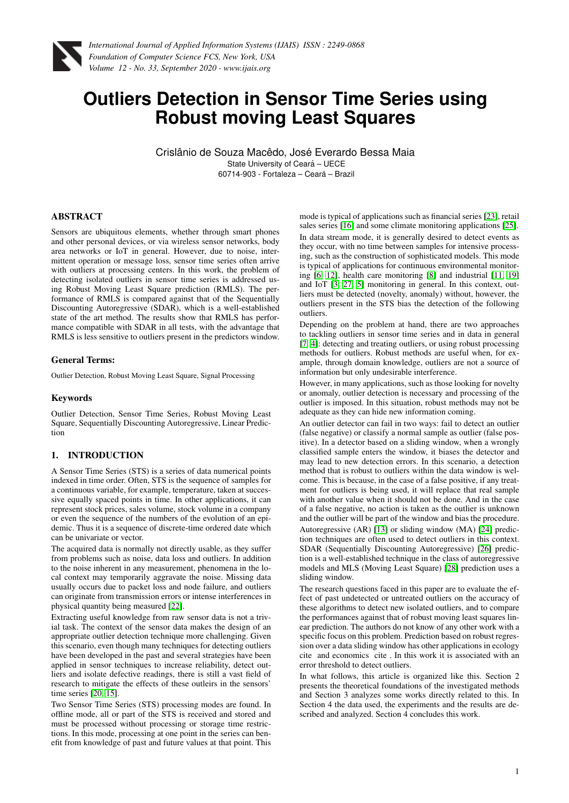

# **Outliers Detection in Sensor Time Series using Robust moving Least Squares**

Crislânio de Souza Macêdo, José Everardo Bessa Maia State University of Ceará - UECE 60714-903 - Fortaleza – Ceara – Brazil ´

## ABSTRACT

Sensors are ubiquitous elements, whether through smart phones and other personal devices, or via wireless sensor networks, body area networks or IoT in general. However, due to noise, intermittent operation or message loss, sensor time series often arrive with outliers at processing centers. In this work, the problem of detecting isolated outliers in sensor time series is addressed using Robust Moving Least Square prediction (RMLS). The performance of RMLS is compared against that of the Sequentially Discounting Autoregressive (SDAR), which is a well-established state of the art method. The results show that RMLS has performance compatible with SDAR in all tests, with the advantage that RMLS is less sensitive to outliers present in the predictors window.

#### General Terms:

Outlier Detection, Robust Moving Least Square, Signal Processing

#### Keywords

Outlier Detection, Sensor Time Series, Robust Moving Least Square, Sequentially Discounting Autoregressive, Linear Prediction

## 1. INTRODUCTION

A Sensor Time Series (STS) is a series of data numerical points indexed in time order. Often, STS is the sequence of samples for a continuous variable, for example, temperature, taken at successive equally spaced points in time. In other applications, it can represent stock prices, sales volume, stock volume in a company or even the sequence of the numbers of the evolution of an epidemic. Thus it is a sequence of discrete-time ordered date which can be univariate or vector.

The acquired data is normally not directly usable, as they suffer from problems such as noise, data loss and outliers. In addition to the noise inherent in any measurement, phenomena in the local context may temporarily aggravate the noise. Missing data usually occurs due to packet loss and node failure, and outliers can originate from transmission errors or intense interferences in physical quantity being measured [\[22\]](#page-4-0).

Extracting useful knowledge from raw sensor data is not a trivial task. The context of the sensor data makes the design of an appropriate outlier detection technique more challenging. Given this scenario, even though many techniques for detecting outliers have been developed in the past and several strategies have been applied in sensor techniques to increase reliability, detect outliers and isolate defective readings, there is still a vast field of research to mitigate the effects of these outleirs in the sensors' time series [\[20,](#page-4-1) [15\]](#page-4-2).

Two Sensor Time Series (STS) processing modes are found. In offline mode, all or part of the STS is received and stored and must be processed without processing or storage time restrictions. In this mode, processing at one point in the series can benefit from knowledge of past and future values at that point. This

mode is typical of applications such as financial series [\[23\]](#page-4-3), retail sales series [\[16\]](#page-4-4) and some climate monitoring applications [\[25\]](#page-4-5). In data stream mode, it is generally desired to detect events as they occur, with no time between samples for intensive processing, such as the construction of sophisticated models. This mode is typical of applications for continuous environmental monitoring [\[6,](#page-4-6) [12\]](#page-4-7), health care monitoring [\[8\]](#page-4-8) and industrial [\[11,](#page-4-9) [19\]](#page-4-10) and IoT [\[3,](#page-4-11) [27,](#page-4-12) [5\]](#page-4-13) monitoring in general. In this context, outliers must be detected (novelty, anomaly) without, however, the outliers present in the STS bias the detection of the following outliers.

Depending on the problem at hand, there are two approaches to tackling outliers in sensor time series and in data in general [\[7,](#page-4-14) [4\]](#page-4-15): detecting and treating outliers, or using robust processing methods for outliers. Robust methods are useful when, for example, through domain knowledge, outliers are not a source of information but only undesirable interference.

However, in many applications, such as those looking for novelty or anomaly, outlier detection is necessary and processing of the outlier is imposed. In this situation, robust methods may not be adequate as they can hide new information coming.

An outlier detector can fail in two ways: fail to detect an outlier (false negative) or classify a normal sample as outlier (false positive). In a detector based on a sliding window, when a wrongly classified sample enters the window, it biases the detector and may lead to new detection errors. In this scenario, a detection method that is robust to outliers within the data window is welcome. This is because, in the case of a false positive, if any treatment for outliers is being used, it will replace that real sample with another value when it should not be done. And in the case of a false negative, no action is taken as the outlier is unknown and the outlier will be part of the window and bias the procedure. Autoregressive (AR) [\[13\]](#page-4-16) or sliding window (MA) [\[24\]](#page-4-17) prediction techniques are often used to detect outliers in this context. SDAR (Sequentially Discounting Autoregressive) [\[26\]](#page-4-18) prediction is a well-established technique in the class of autoregressive models and MLS (Moving Least Square) [\[28\]](#page-4-19) prediction uses a sliding window.

The research questions faced in this paper are to evaluate the effect of past undetected or untreated outliers on the accuracy of these algorithms to detect new isolated outliers, and to compare the performances against that of robust moving least squares linear prediction. The authors do not know of any other work with a specific focus on this problem. Prediction based on robust regression over a data sliding window has other applications in ecology cite and economics cite . In this work it is associated with an error threshold to detect outliers.

In what follows, this article is organized like this. Section 2 presents the theoretical foundations of the investigated methods and Section 3 analyzes some works directly related to this. In Section 4 the data used, the experiments and the results are described and analyzed. Section 4 concludes this work.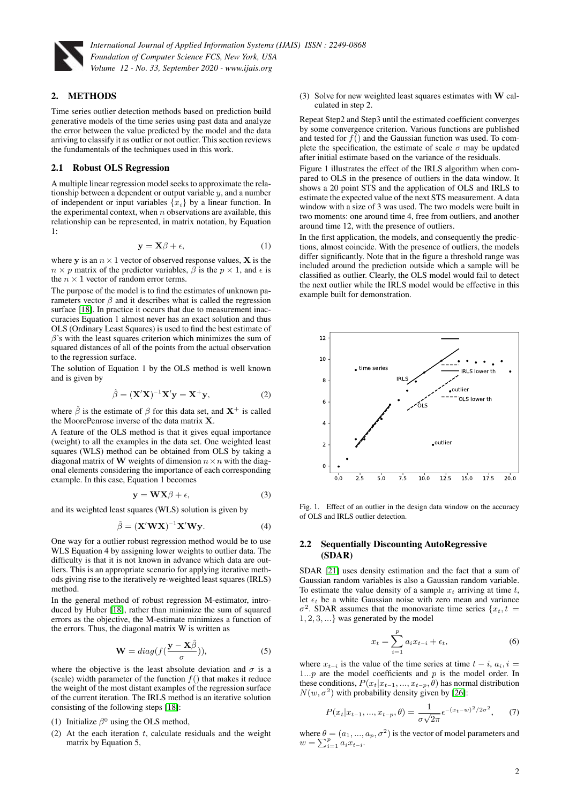

## 2. METHODS

Time series outlier detection methods based on prediction build generative models of the time series using past data and analyze the error between the value predicted by the model and the data arriving to classify it as outlier or not outlier. This section reviews the fundamentals of the techniques used in this work.

#### 2.1 Robust OLS Regression

A multiple linear regression model seeks to approximate the relationship between a dependent or output variable  $y$ , and a number of independent or input variables  $\{x_i\}$  by a linear function. In the experimental context, when  $n$  observations are available, this relationship can be represented, in matrix notation, by Equation 1:

$$
y = X\beta + \epsilon,\tag{1}
$$

where y is an  $n \times 1$  vector of observed response values, **X** is the  $n \times p$  matrix of the predictor variables,  $\beta$  is the  $p \times 1$ , and  $\epsilon$  is the  $n \times 1$  vector of random error terms.

The purpose of the model is to find the estimates of unknown parameters vector  $\beta$  and it describes what is called the regression surface [\[18\]](#page-4-20). In practice it occurs that due to measurement inaccuracies Equation 1 almost never has an exact solution and thus OLS (Ordinary Least Squares) is used to find the best estimate of  $\beta$ 's with the least squares criterion which minimizes the sum of squared distances of all of the points from the actual observation to the regression surface.

The solution of Equation 1 by the OLS method is well known and is given by

$$
\hat{\beta} = (\mathbf{X}'\mathbf{X})^{-1}\mathbf{X}'\mathbf{y} = \mathbf{X}^+\mathbf{y},\tag{2}
$$

where  $\hat{\beta}$  is the estimate of  $\beta$  for this data set, and  $X^+$  is called the MoorePenrose inverse of the data matrix X.

A feature of the OLS method is that it gives equal importance (weight) to all the examples in the data set. One weighted least squares (WLS) method can be obtained from OLS by taking a diagonal matrix of W weights of dimension  $n \times n$  with the diagonal elements considering the importance of each corresponding example. In this case, Equation 1 becomes

$$
y = W X \beta + \epsilon, \tag{3}
$$

and its weighted least squares (WLS) solution is given by

$$
\hat{\beta} = (\mathbf{X}' \mathbf{W} \mathbf{X})^{-1} \mathbf{X}' \mathbf{W} \mathbf{y}.
$$
 (4)

One way for a outlier robust regression method would be to use WLS Equation 4 by assigning lower weights to outlier data. The difficulty is that it is not known in advance which data are outliers. This is an appropriate scenario for applying iterative methods giving rise to the iteratively re-weighted least squares (IRLS) method.

In the general method of robust regression M-estimator, introduced by Huber [\[18\]](#page-4-20), rather than minimize the sum of squared errors as the objective, the M-estimate minimizes a function of the errors. Thus, the diagonal matrix W is written as

$$
\mathbf{W} = diag(f(\frac{\mathbf{y} - \mathbf{X}\hat{\beta}}{\sigma})),
$$
 (5)

where the objective is the least absolute deviation and  $\sigma$  is a (scale) width parameter of the function  $f()$  that makes it reduce the weight of the most distant examples of the regression surface of the current iteration. The IRLS method is an iterative solution consisting of the following steps [\[18\]](#page-4-20):

- (1) Initialize  $\beta^0$  using the OLS method,
- (2) At the each iteration  $t$ , calculate residuals and the weight matrix by Equation 5,

(3) Solve for new weighted least squares estimates with W calculated in step 2.

Repeat Step2 and Step3 until the estimated coefficient converges by some convergence criterion. Various functions are published and tested for  $f()$  and the Gaussian function was used. To complete the specification, the estimate of scale  $\sigma$  may be updated after initial estimate based on the variance of the residuals.

Figure 1 illustrates the effect of the IRLS algorithm when compared to OLS in the presence of outliers in the data window. It shows a 20 point STS and the application of OLS and IRLS to estimate the expected value of the next STS measurement. A data window with a size of 3 was used. The two models were built in two moments: one around time 4, free from outliers, and another around time 12, with the presence of outliers.

In the first application, the models, and consequently the predictions, almost coincide. With the presence of outliers, the models differ significantly. Note that in the figure a threshold range was included around the prediction outside which a sample will be classified as outlier. Clearly, the OLS model would fail to detect the next outlier while the IRLS model would be effective in this example built for demonstration.



Fig. 1. Effect of an outlier in the design data window on the accuracy of OLS and IRLS outlier detection.

#### 2.2 Sequentially Discounting AutoRegressive (SDAR)

SDAR [\[21\]](#page-4-21) uses density estimation and the fact that a sum of Gaussian random variables is also a Gaussian random variable. To estimate the value density of a sample  $x_t$  arriving at time t, let  $\epsilon_t$  be a white Gaussian noise with zero mean and variance  $\sigma^2$ . SDAR assumes that the monovariate time series  $\{x_t, t =$ 1, 2, 3, ...} was generated by the model

$$
x_t = \sum_{i=1}^p a_i x_{t-i} + \epsilon_t,
$$
\n(6)

where  $x_{t-i}$  is the value of the time series at time  $t-i$ ,  $a_i$ ,  $i =$ 1... $p$  are the model coefficients and  $p$  is the model order. In these conditions,  $P(x_t|x_{t-1},...,x_{t-p}, \theta)$  has normal distribution  $N(w, \sigma^2)$  with probability density given by [\[26\]](#page-4-18):

$$
P(x_t|x_{t-1},...,x_{t-p},\theta) = \frac{1}{\sigma\sqrt{2\pi}}e^{-(x_t-w)^2/2\sigma^2},\qquad(7)
$$

where  $\theta = (a_1, ..., a_p, \sigma^2)$  is the vector of model parameters and  $w = \sum_{i=1}^{p} a_i x_{t-i}.$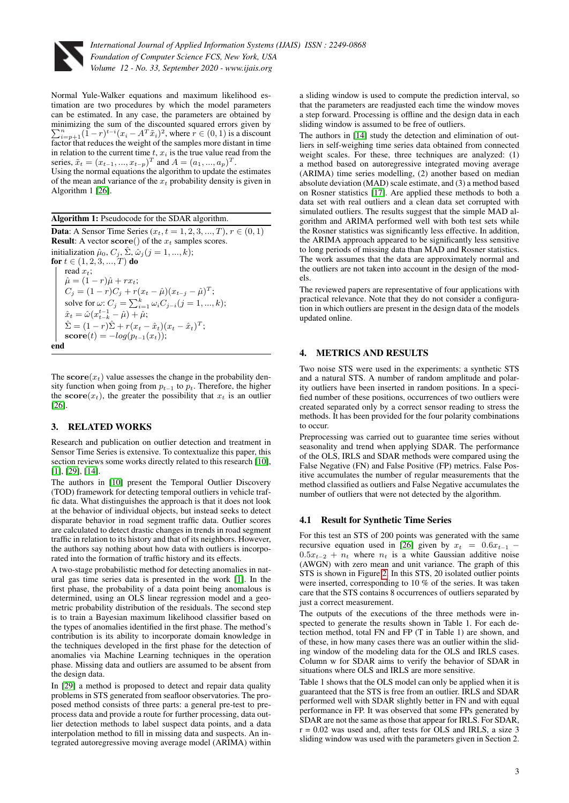

Normal Yule-Walker equations and maximum likelihood estimation are two procedures by which the model parameters can be estimated. In any case, the parameters are obtained by minimizing the sum of the discounted squared errors given by  $\sum_{i=p+1}^{n} (1-r)^{t-i} (x_i - A^T \tilde{x}_i)^2$ , where  $r \in (0,1)$  is a discount  $\sum_{i=p+1}^{n=p+1}$  factor that reduces the weight of the samples more distant in time in relation to the current time  $t, x_i$  is the true value read from the series,  $\tilde{x}_t = (x_{t-1}, ..., x_{t-p})^T$  and  $A = (a_1, ..., a_p)^T$ . Using the normal equations the algorithm to update the estimates of the mean and variance of the  $x_t$  probability density is given in Algorithm 1 [\[26\]](#page-4-18).

Algorithm 1: Pseudocode for the SDAR algorithm. **Data:** A Sensor Time Series  $(x_t, t = 1, 2, 3, ..., T), r \in (0, 1)$ **Result:** A vector  $score()$  of the  $x_t$  samples scores. initialization  $\hat{\mu}_0$ ,  $C_j$ ,  $\hat{\Sigma}$ ,  $\hat{\omega}_j$  ( $j = 1, ..., k$ ); for  $t\in(1,2,3,...,T)$  do read  $x_t$ ;  $\hat{\mu} = (1 - r)\hat{\mu} + rx_t;$  $C_j = (1 - r)C_j + r(x_t - \hat{\mu})(x_{t-j} - \hat{\mu})^T;$ solve for  $\omega: C_j = \sum_{i=1}^k \omega_i C_{j-i} (j = 1, ..., k);$  $\hat{x}_t = \hat{\omega} (x_{t-k}^{t-1} - \hat{\mu}) + \hat{\mu};$  $\hat{\Sigma} = (1 - r)\hat{\Sigma} + r(x_t - \hat{x}_t)(x_t - \hat{x}_t)^T;$  $\textbf{score}(t) = -log(p_{t-1}(x_t));$ end

The  $score(x_t)$  value assesses the change in the probability density function when going from  $p_{t-1}$  to  $p_t$ . Therefore, the higher the score $(x_t)$ , the greater the possibility that  $x_t$  is an outlier [\[26\]](#page-4-18).

# 3. RELATED WORKS

Research and publication on outlier detection and treatment in Sensor Time Series is extensive. To contextualize this paper, this section reviews some works directly related to this research [\[10\]](#page-4-22), [\[1\]](#page-4-23), [\[29\]](#page-4-24), [\[14\]](#page-4-25).

The authors in [\[10\]](#page-4-22) present the Temporal Outlier Discovery (TOD) framework for detecting temporal outliers in vehicle traffic data. What distinguishes the approach is that it does not look at the behavior of individual objects, but instead seeks to detect disparate behavior in road segment traffic data. Outlier scores are calculated to detect drastic changes in trends in road segment traffic in relation to its history and that of its neighbors. However, the authors say nothing about how data with outliers is incorporated into the formation of traffic history and its effects.

A two-stage probabilistic method for detecting anomalies in natural gas time series data is presented in the work [\[1\]](#page-4-23). In the first phase, the probability of a data point being anomalous is determined, using an OLS linear regression model and a geometric probability distribution of the residuals. The second step is to train a Bayesian maximum likelihood classifier based on the types of anomalies identified in the first phase. The method's contribution is its ability to incorporate domain knowledge in the techniques developed in the first phase for the detection of anomalies via Machine Learning techniques in the operation phase. Missing data and outliers are assumed to be absent from the design data.

In [\[29\]](#page-4-24) a method is proposed to detect and repair data quality problems in STS generated from seafloor observatories. The proposed method consists of three parts: a general pre-test to preprocess data and provide a route for further processing, data outlier detection methods to label suspect data points, and a data interpolation method to fill in missing data and suspects. An integrated autoregressive moving average model (ARIMA) within

a sliding window is used to compute the prediction interval, so that the parameters are readjusted each time the window moves a step forward. Processing is offline and the design data in each sliding window is assumed to be free of outliers.

The authors in [\[14\]](#page-4-25) study the detection and elimination of outliers in self-weighing time series data obtained from connected weight scales. For these, three techniques are analyzed: (1) a method based on autoregressive integrated moving average (ARIMA) time series modelling, (2) another based on median absolute deviation (MAD) scale estimate, and (3) a method based on Rosner statistics [\[17\]](#page-4-26). Are applied these methods to both a data set with real outliers and a clean data set corrupted with simulated outliers. The results suggest that the simple MAD algorithm and ARIMA performed well with both test sets while the Rosner statistics was significantly less effective. In addition, the ARIMA approach appeared to be significantly less sensitive to long periods of missing data than MAD and Rosner statistics. The work assumes that the data are approximately normal and the outliers are not taken into account in the design of the models.

The reviewed papers are representative of four applications with practical relevance. Note that they do not consider a configuration in which outliers are present in the design data of the models updated online.

## 4. METRICS AND RESULTS

Two noise STS were used in the experiments: a synthetic STS and a natural STS. A number of random amplitude and polarity outliers have been inserted in random positions. In a specified number of these positions, occurrences of two outliers were created separated only by a correct sensor reading to stress the methods. It has been provided for the four polarity combinations to occur.

Preprocessing was carried out to guarantee time series without seasonality and trend when applying SDAR. The performance of the OLS, IRLS and SDAR methods were compared using the False Negative (FN) and False Positive (FP) metrics. False Positive accumulates the number of regular measurements that the method classified as outliers and False Negative accumulates the number of outliers that were not detected by the algorithm.

## 4.1 Result for Synthetic Time Series

For this test an STS of 200 points was generated with the same recursive equation used in [\[26\]](#page-4-18) given by  $x_t = 0.6x_{t-1}$  $0.5x_{t-2} + n_t$  where  $n_t$  is a white Gaussian additive noise (AWGN) with zero mean and unit variance. The graph of this STS is shown in Figure [2.](#page-3-0) In this STS, 20 isolated outlier points were inserted, corresponding to 10 % of the series. It was taken care that the STS contains 8 occurrences of outliers separated by just a correct measurement.

The outputs of the executions of the three methods were inspected to generate the results shown in Table 1. For each detection method, total FN and FP (T in Table 1) are shown, and of these, in how many cases there was an outlier within the sliding window of the modeling data for the OLS and IRLS cases. Column w for SDAR aims to verify the behavior of SDAR in situations where OLS and IRLS are more sensitive.

Table 1 shows that the OLS model can only be applied when it is guaranteed that the STS is free from an outlier. IRLS and SDAR performed well with SDAR slightly better in FN and with equal performance in FP. It was observed that some FPs generated by SDAR are not the same as those that appear for IRLS. For SDAR,  $r = 0.02$  was used and, after tests for OLS and IRLS, a size 3 sliding window was used with the parameters given in Section 2.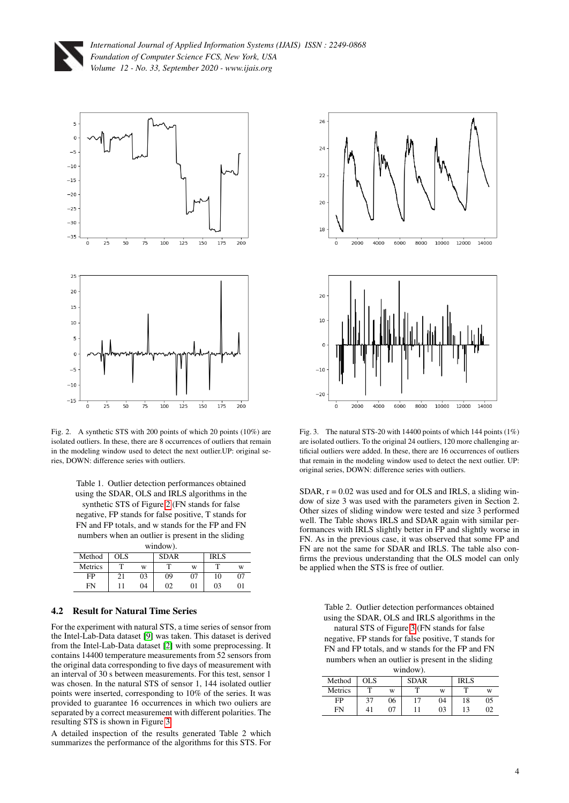



<span id="page-3-0"></span>Fig. 2. A synthetic STS with 200 points of which 20 points (10%) are isolated outliers. In these, there are 8 occurrences of outliers that remain in the modeling window used to detect the next outlier.UP: original series, DOWN: difference series with outliers.

Table 1. Outlier detection performances obtained using the SDAR, OLS and IRLS algorithms in the synthetic STS of Figure [2](#page-3-0) (FN stands for false negative, FP stands for false positive, T stands for FN and FP totals, and w stands for the FP and FN numbers when an outlier is present in the sliding window)

| Method  | OLS. |    | <b>SDAR</b> |    | <b>IRLS</b> |    |
|---------|------|----|-------------|----|-------------|----|
| Metrics |      | W  |             | W  | ᠇᠇          | w  |
| FP      | 21   | 03 | 09          | 07 | 10          | 07 |
| FN      |      | 04 | 02          | 01 | 03          | 0  |

# 4.2 Result for Natural Time Series

For the experiment with natural STS, a time series of sensor from the Intel-Lab-Data dataset [\[9\]](#page-4-27) was taken. This dataset is derived from the Intel-Lab-Data dataset [\[2\]](#page-4-28) with some preprocessing. It contains 14400 temperature measurements from 52 sensors from the original data corresponding to five days of measurement with an interval of 30 s between measurements. For this test, sensor 1 was chosen. In the natural STS of sensor 1, 144 isolated outlier points were inserted, corresponding to 10% of the series. It was provided to guarantee 16 occurrences in which two ouliers are separated by a correct measurement with different polarities. The resulting STS is shown in Figure [3.](#page-3-1)

A detailed inspection of the results generated Table 2 which summarizes the performance of the algorithms for this STS. For



<span id="page-3-1"></span>Fig. 3. The natural STS-20 with 14400 points of which 144 points (1%) are isolated outliers. To the original 24 outliers, 120 more challenging artificial outliers were added. In these, there are 16 occurrences of outliers that remain in the modeling window used to detect the next outlier. UP: original series, DOWN: difference series with outliers.

 $SDAR$ ,  $r = 0.02$  was used and for OLS and IRLS, a sliding window of size 3 was used with the parameters given in Section 2. Other sizes of sliding window were tested and size 3 performed well. The Table shows IRLS and SDAR again with similar performances with IRLS slightly better in FP and slightly worse in FN. As in the previous case, it was observed that some FP and FN are not the same for SDAR and IRLS. The table also confirms the previous understanding that the OLS model can only be applied when the STS is free of outlier.

> Table 2. Outlier detection performances obtained using the SDAR, OLS and IRLS algorithms in the

> natural STS of Figure [3](#page-3-1) (FN stands for false negative, FP stands for false positive, T stands for FN and FP totals, and w stands for the FP and FN numbers when an outlier is present in the sliding window).

| white will |      |    |             |    |             |     |  |  |  |  |
|------------|------|----|-------------|----|-------------|-----|--|--|--|--|
| Method     | OL S |    | <b>SDAR</b> |    | <b>IRLS</b> |     |  |  |  |  |
| Metrics    |      | W  |             | W  | ௱           | W   |  |  |  |  |
| FP         | 37   | 06 | 17          | 04 | 18          | 0.5 |  |  |  |  |
| FN         | 41   | 07 |             | 03 | 13          | 02  |  |  |  |  |